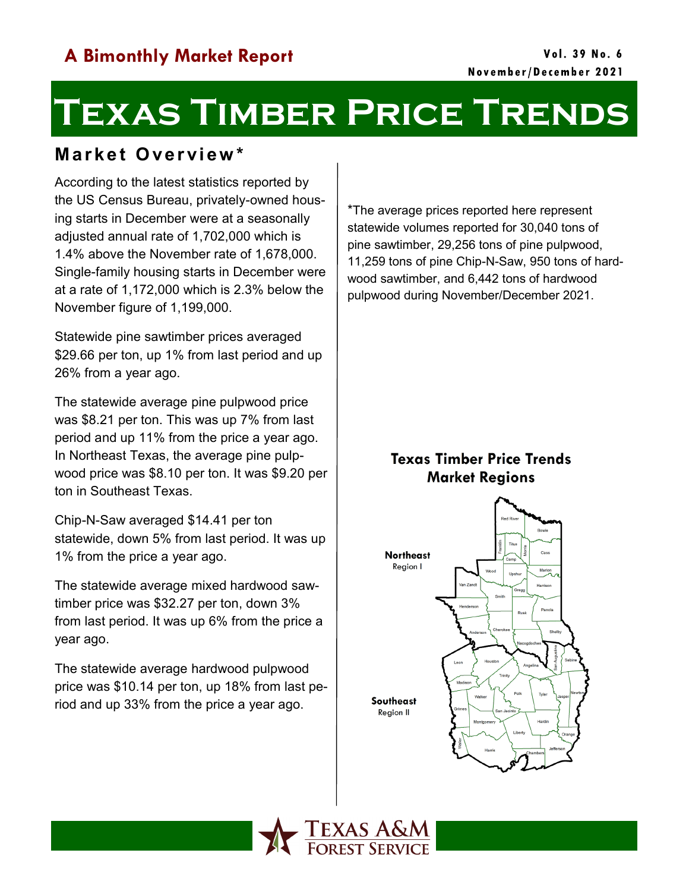# **Texas Timber Price Trends**

### **M a r k e t O ve r vi e w \***

According to the latest statistics reported by the US Census Bureau, privately-owned housing starts in December were at a seasonally adjusted annual rate of 1,702,000 which is 1.4% above the November rate of 1,678,000. Single-family housing starts in December were at a rate of 1,172,000 which is 2.3% below the November figure of 1,199,000.

Statewide pine sawtimber prices averaged \$29.66 per ton, up 1% from last period and up 26% from a year ago.

The statewide average pine pulpwood price was \$8.21 per ton. This was up 7% from last period and up 11% from the price a year ago. In Northeast Texas, the average pine pulpwood price was \$8.10 per ton. It was \$9.20 per ton in Southeast Texas.

Chip-N-Saw averaged \$14.41 per ton statewide, down 5% from last period. It was up 1% from the price a year ago.

The statewide average mixed hardwood sawtimber price was \$32.27 per ton, down 3% from last period. It was up 6% from the price a year ago.

The statewide average hardwood pulpwood price was \$10.14 per ton, up 18% from last period and up 33% from the price a year ago.

\*The average prices reported here represent statewide volumes reported for 30,040 tons of pine sawtimber, 29,256 tons of pine pulpwood, 11,259 tons of pine Chip-N-Saw, 950 tons of hardwood sawtimber, and 6,442 tons of hardwood pulpwood during November/December 2021.

### **Texas Timber Price Trends Market Regions**



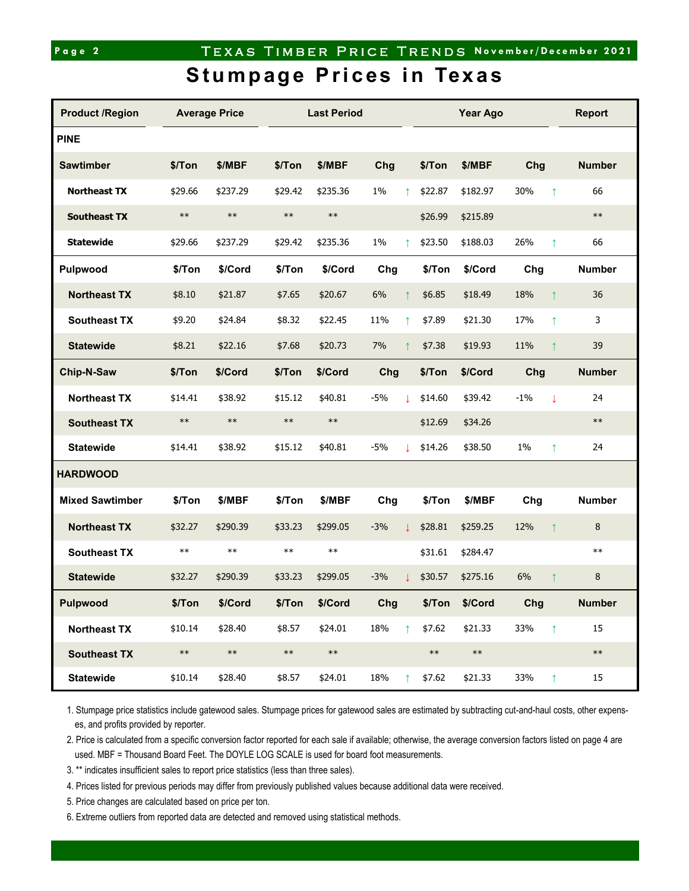# Page 2 **TEXAS TIMBER PRICE TRENDS November/December 2021**

## **Stumpage Prices in Texas**

| <b>Product /Region</b> | <b>Average Price</b> |            | <b>Last Period</b> |            |       |            | Year Ago   |            |       |              | <b>Report</b> |
|------------------------|----------------------|------------|--------------------|------------|-------|------------|------------|------------|-------|--------------|---------------|
| <b>PINE</b>            |                      |            |                    |            |       |            |            |            |       |              |               |
| <b>Sawtimber</b>       | \$/Ton               | \$/MBF     | \$/Ton             | \$/MBF     | Chg   |            | \$/Ton     | \$/MBF     | Chg   |              | <b>Number</b> |
| <b>Northeast TX</b>    | \$29.66              | \$237.29   | \$29.42            | \$235.36   | $1\%$ | ↑          | \$22.87    | \$182.97   | 30%   | $\uparrow$   | 66            |
| <b>Southeast TX</b>    | $***$                | $\ast\ast$ | $\ast\ast$         | $***$      |       |            | \$26.99    | \$215.89   |       |              | $\ast\ast$    |
| <b>Statewide</b>       | \$29.66              | \$237.29   | \$29.42            | \$235.36   | 1%    | ↑          | \$23.50    | \$188.03   | 26%   | $\uparrow$   | 66            |
| <b>Pulpwood</b>        | \$/Ton               | \$/Cord    | \$/Ton             | \$/Cord    | Chg   |            | \$/Ton     | \$/Cord    | Chg   |              | <b>Number</b> |
| <b>Northeast TX</b>    | \$8.10               | \$21.87    | \$7.65             | \$20.67    | 6%    |            | \$6.85     | \$18.49    | 18%   | $\uparrow$   | 36            |
| <b>Southeast TX</b>    | \$9.20               | \$24.84    | \$8.32             | \$22.45    | 11%   | ↑          | \$7.89     | \$21.30    | 17%   | $\uparrow$   | 3             |
| <b>Statewide</b>       | \$8.21               | \$22.16    | \$7.68             | \$20.73    | 7%    |            | \$7.38     | \$19.93    | 11%   | ↑            | 39            |
| Chip-N-Saw             | \$/Ton               | \$/Cord    | \$/Ton             | \$/Cord    | Chg   |            | \$/Ton     | \$/Cord    | Chg   |              | <b>Number</b> |
| <b>Northeast TX</b>    | \$14.41              | \$38.92    | \$15.12            | \$40.81    | $-5%$ | T          | \$14.60    | \$39.42    | $-1%$ | $\downarrow$ | 24            |
| <b>Southeast TX</b>    | $\ast\ast$           | $\ast\ast$ | $\ast\ast$         | $\ast\ast$ |       |            | \$12.69    | \$34.26    |       |              | $\ast\ast$    |
| <b>Statewide</b>       | \$14.41              | \$38.92    | \$15.12            | \$40.81    | $-5%$ |            | \$14.26    | \$38.50    | 1%    | $\uparrow$   | 24            |
| <b>HARDWOOD</b>        |                      |            |                    |            |       |            |            |            |       |              |               |
| <b>Mixed Sawtimber</b> | \$/Ton               | \$/MBF     | \$/Ton             | \$/MBF     | Chg   |            | \$/Ton     | \$/MBF     | Chg   |              | <b>Number</b> |
| <b>Northeast TX</b>    | \$32.27              | \$290.39   | \$33.23            | \$299.05   | $-3%$ |            | \$28.81    | \$259.25   | 12%   | $\uparrow$   | 8             |
| <b>Southeast TX</b>    | $\ast\ast$           | $\ast\ast$ | $\ast\ast$         | $***$      |       |            | \$31.61    | \$284.47   |       |              | $***$         |
| <b>Statewide</b>       | \$32.27              | \$290.39   | \$33.23            | \$299.05   | $-3%$ |            | \$30.57    | \$275.16   | 6%    | $\uparrow$   | 8             |
| <b>Pulpwood</b>        | \$/Ton               | \$/Cord    | \$/Ton             | \$/Cord    | Chg   |            | \$/Ton     | \$/Cord    | Chg   |              | Number        |
| <b>Northeast TX</b>    | \$10.14              | \$28.40    | \$8.57             | \$24.01    | 18%   | $\uparrow$ | \$7.62     | \$21.33    | 33%   | $\uparrow$   | 15            |
| <b>Southeast TX</b>    | $\ast\ast$           | $\ast\ast$ | $\ast\ast$         | $\ast\ast$ |       |            | $\ast\ast$ | $\ast\ast$ |       |              | $\ast\ast$    |
| <b>Statewide</b>       | \$10.14              | \$28.40    | \$8.57             | \$24.01    | 18%   | $\uparrow$ | \$7.62     | \$21.33    | 33%   | $\uparrow$   | 15            |

1. Stumpage price statistics include gatewood sales. Stumpage prices for gatewood sales are estimated by subtracting cut-and-haul costs, other expenses, and profits provided by reporter.

2. Price is calculated from a specific conversion factor reported for each sale if available; otherwise, the average conversion factors listed on page 4 are used. MBF = Thousand Board Feet. The DOYLE LOG SCALE is used for board foot measurements.

3. \*\* indicates insufficient sales to report price statistics (less than three sales).

4. Prices listed for previous periods may differ from previously published values because additional data were received.

5. Price changes are calculated based on price per ton.

6. Extreme outliers from reported data are detected and removed using statistical methods.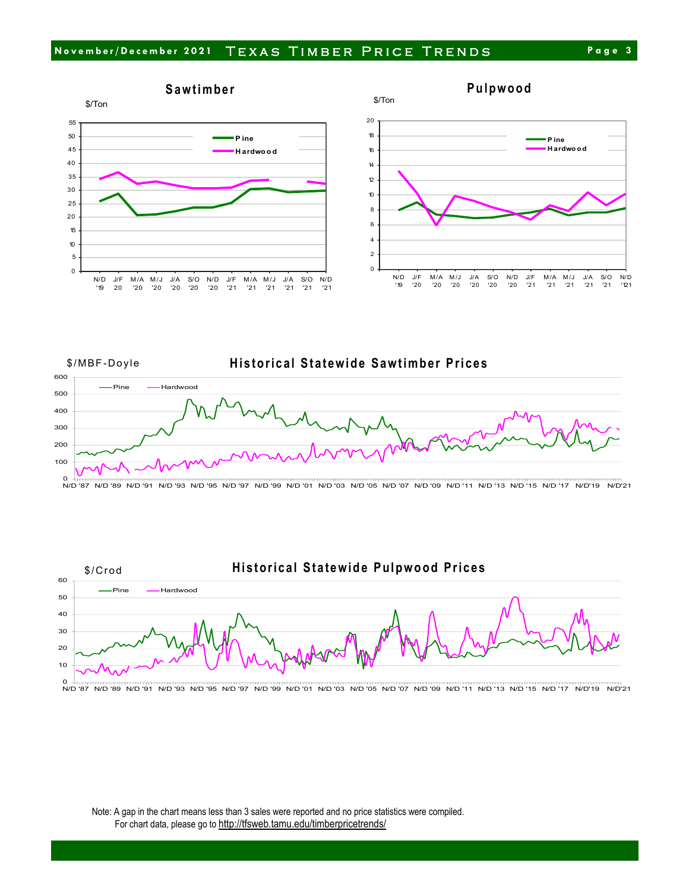







N/D '87 17 וייס און דוי סוא 15 ייסוא 11 סוא פיט מא דס סוא פס סוא פס סוא 10 סוא פיס מא פיט אי די סוא פיט סוא פיט א פא סוא  $N/D'21$ 

Note: A gap in the chart means less than 3 sales were reported and no price statistics were compiled. For chart data, please go to http://tfsweb.tamu.edu/timberpricetrends/